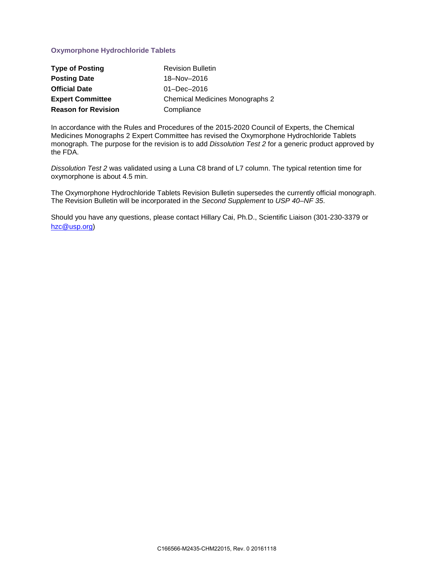## **Oxymorphone Hydrochloride Tablets**

| <b>Type of Posting</b>     | <b>Revision Bulletin</b>               |
|----------------------------|----------------------------------------|
| <b>Posting Date</b>        | 18-Nov-2016                            |
| <b>Official Date</b>       | $01 - Dec - 2016$                      |
| <b>Expert Committee</b>    | <b>Chemical Medicines Monographs 2</b> |
| <b>Reason for Revision</b> | Compliance                             |

In accordance with the Rules and Procedures of the 2015-2020 Council of Experts, the Chemical Medicines Monographs 2 Expert Committee has revised the Oxymorphone Hydrochloride Tablets monograph. The purpose for the revision is to add *Dissolution Test 2* for a generic product approved by the FDA.

*Dissolution Test 2* was validated using a Luna C8 brand of L7 column. The typical retention time for oxymorphone is about 4.5 min.

The Oxymorphone Hydrochloride Tablets Revision Bulletin supersedes the currently official monograph. The Revision Bulletin will be incorporated in the *Second Supplement* to *USP 40–NF 35*.

Should you have any questions, please contact Hillary Cai, Ph.D., Scientific Liaison (301-230-3379 or [hzc@usp.org\)](mailto:hzc@usp.org)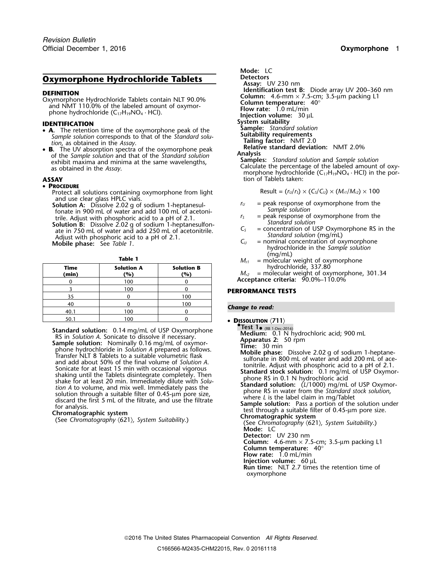# **Oxymorphone Hydrochloride Tablets** Detectors

- **System suitability**<br>  **A** The retention time of the oxymorphone peak of the **Sample:** *Standard solution*<br>
Sample solution corresponds to that of the *Standard solu*<br>
Suitability requirements
- B. The UV absorption spectra of the oxymorphone peak **Relativ**<br>the Sample solution and that of the Standard solution. **Analysis** of the *Sample solution* and that of the *Standard solution*<br>exhibit maxima and minima at the same wavelengths,<br>as obtained in the Assay.<br>morphone hydrochloride (C<sub>17</sub>H<sub>19</sub>NO<sub>4</sub> · HCl) in the por-<br>morphone hydrochloride (

### • **PROCEDURE**

- Protect all solutions containing oxymorphone from light Result =  $(r_U/r_S) \times (C_S/C_U) \times (M_{r1}/M_{r2}) \times 100$
- and use clear glass HPLC vials.<br> **Solution A:** Dissolve 2.02 g of sodium 1-heptanesul-<br>
fonate in 900 mL of water and add 100 mL of acetoni-<br>
frile Adjust with phosphoric acid to a pH of 2.1<br> *r<sub>S</sub>* = peak response of oxy

trile. Adjust with phosphoric acid to a pH of 2.1.<br> **Solution B:** Dissolve 2.02 g of sodium 1-heptanesulfon-<br>
ate in 750 mL of water and add 250 mL of acetonitrile.<br>
Adjust with phosphoric acid to a pH of 2.1.<br>
Mobile pha

| <b>Time</b><br>(min) | <b>Solution A</b><br>(%) | <b>Solution B</b><br>(%) |
|----------------------|--------------------------|--------------------------|
|                      | 100                      |                          |
|                      | 100                      |                          |
| 35                   |                          | 100                      |
| 40                   |                          | 100                      |
| 40.1                 | 100                      |                          |
| 50.1                 | 100                      |                          |

**Mode:** LC **Assay:** UV 230 nm **DEFINITION**<br>
Oxymorphone Hydrochloride Tablets contain NLT 90.0%<br>
and NMT 110.0% of the labeled amount of oxymor-<br>
phone hydrochloride (C<sub>17</sub>H<sub>19</sub>NO<sub>4</sub> · HCl).<br> **IDENTIFICATION**<br> **IDENTIFICATION**<br> **IDENTIFICATION**<br> **IDEN** Sample solution corresponds to that of the Standard solu-<br>tion, as obtained in the Assay.<br>R. The LIV absorption spectra of the oxymorphone peak Relative standard deviation: NMT 2.0%

**ASSAY** tion of Tablets taken:

- 
- 
- 
- = nominal concentration of oxymorphone hydrochloride in the *Sample solution* (mq/mL)
- **Table 1**  $M_{r1}$  = molecular weight of oxymorphone **Time Solution A Solution B** hydrochloride, 337.80

**(min) (%) (%)** *<sup>M</sup>r2* = molecular weight of oxymorphone, 301.34 <sup>0</sup> <sup>100</sup> <sup>0</sup> **Acceptance criteria:** 90.0%–110.0%

### **PERFORMANCE TESTS**

### **Change to read:**

 **<sup>D</sup>ISSOLUTION** 〈**711**〉 **•Test 1•** (RB 1-Dec-2016)<br>**Medium:** 0.1 N hydrochloric acid; 900 mL **Standard solution:** 0.14 mg/mL of USP Oxymorphone<br> **Example solution:** 0.14 mg/mL of USP Oxymorphone<br> **Example solution:** Nominally 0.16 mg/mL of oxymor-<br> **Sample solution:** Nominally 0.16 mg/mL of oxymor-<br> **Prensect NUT Mode:** LC **Detector:** UV 230 nm **Column:** 4.6-mm × 7.5-cm; 3.5-µm packing L1 **Column temperature:** 40° **Flow rate:** 1.0 mL/min **Injection volume:** 60 µL **Run time:** NLT 2.7 times the retention time of oxymorphone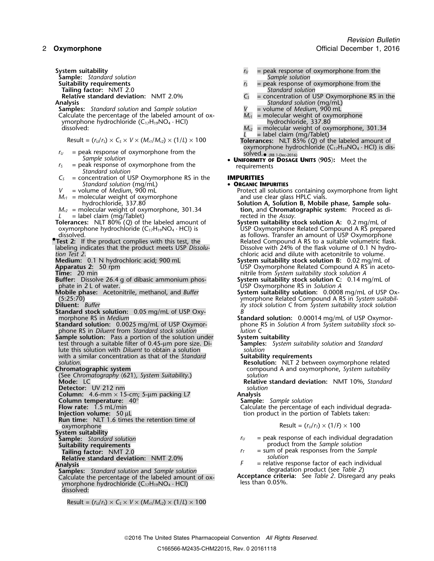**Sample:** *Standard solution Sample solution*

**Tailing factor:** NMT 2.0<br> **Relative standard deviation:** NMT 2.0% 6.5

- 
- **Samples:** *Standard solution* and *Sample solution*  $V =$  volume of *Medium*, 900 mL Calculate the percentage of the labeled amount of ox-  $M_{cl} =$  molecular weight of oxymorphone Calculate the percentage of the labeled amount of ox-<br> *M<sub>r1</sub>* = molecular weight of oxymorphone hydrochloride (C<sub>17</sub>H<sub>19</sub>NO<sub>4</sub> · HCl)<br> *M*<sub>*n1*</sub> = molecular weight of oxymorphone hydrochloride (C<sub>17</sub>H<sub>19</sub>NO<sub>4</sub> · HCl) ymorphone hydrochloride (C<sub>17</sub>H<sub>19</sub>NO<sub>4</sub> · HCl)<br>dissolved:  $M_{r2}$

- $r_U$  = peak response of oxymorphone from the *Sample solution*
- $r<sub>S</sub>$  = peak response of oxymorphone from the *Standard solution*
- *C<sup>S</sup>* = concentration of USP Oxymorphone RS in the **IMPURITIES Standard solution (mg/mL)** • **ORGANIC IMPURITIES**<br>
• **ORGANIC IMPURITIES**
- 
- $M_{r1}$  = molecular weight of oxymorphone hydrochloride, 337.80
- 
- **Tolerances:** NLT 80% (*Q*) of the labeled amount of oxymorphone hydrochloride  $(C_{17}H_{19}NO_4 \cdot HCl)$  is
- 
- 
- 
- **Buffer:** Dissolve 26.4 g of dibasic ammonium phos- **System suitability stock solution C:** 0.14 mg/mL of phate in 2 L of water. **USP Oxymorphone RS** in *Solution A* Consumer that the phase: Acetonitrile, methanol, and *Buffer* **System suitability solution:** 0.000
- 
- 
- **Standard stock solution:** 0.05 mg/mL of USP Oxy-<br>morphone RS in *Medium*
- phone RS in *Diluent* from *Standard stock solution lution C*
- **Sample solution:** Pass a portion of the solution under<br> **System suitability** solution and Standard<br> **Samples:** System suitability solution and Standard test through a suitable filter of 0.45-µm pore size. Di- **Samples:** *System suitability solution* and *Standard* lute this solution with *Diluent* to obtain a solution *solution* with a similar concentration as that of the *Standard* **Suitability requirements**
- 
- (See *Chromatography* 〈621〉*, System Suitability*.) *solution*
- **Detector:** UV 212 nm
- **Column:** 4.6-mm × 15-cm; 5-µm packing L7 **Analysis**
- **Column temperature:**  $40^{\circ}$  **Sample:** *Sample: Sample solution*<br>**Flow rate:** 1.5 mL/min **Sample School School School School Calculate** the percentage
- 
- 
- **Run time:** NLT 1.6 times the retention time of oxymorphone Result = (*<sup>r</sup>U*/*<sup>r</sup>T*) × (1/*F*) ×<sup>100</sup>
- 
- **System suitability**
- 
- 
- **Relative standard deviation:** NMT 2.0% *F*
- **Samples:** *Standard solution* and *Sample solution*<br>Calculate the percentage of the labeled amount of ox-**Acceptance criteria:** See *Table 2*. Disregard any peaks Calculate the percentage of the labeled amount of ox-**Acceptance criter**<br>| wporphone hydrochloride (C<sub>3</sub>H<sub>12</sub>NO, *ACI*) | less than 0.05%. ymorphone hydrochloride  $(C_{17}H_{19}NO_4 \cdot HCl)$ dissolved:
	- $Result = (r<sub>U</sub>/r<sub>S</sub>) \times C<sub>S</sub> \times V \times (M<sub>r1</sub>/M<sub>r2</sub>) \times (1/L) \times 100$
- **System suitability**<br> **Sample:** Standard solution *r***<sub>U</sub>** = peak response of oxymorphone from the Sample solution
	- $r<sub>S</sub>$  = peak response of oxymorphone from the *Standard solution*
- **Relative standard deviation:** NMT 2.0% *C<sub>S</sub>* = concentration of USP Oxymorphone RS in the **Analysis** Standard solution (mg/mL) *Standard solution* (mg/mL)<br>a volume of *Medium*, 900 mL
	-
	-
	- = molecular weight of oxymorphone, 301.34
	-
	- Result =  $(r_0/r_s) \times C_s \times V \times (M_{r1}/M_{r2}) \times (1/L) \times 100$ <br>Result =  $(r_0/r_s) \times C_s \times V \times (M_{r1}/M_{r2}) \times (1/L) \times 100$ <br>Tolerances: NLT 85% (Q) of the labeled amount of oxymorphone hydrochloride  $(C_{17}H_{19}NO<sub>4</sub> \cdot HCl)$  is dis-
		- (RB 1-Dec-2016) *Sample solution* **<sup>U</sup>NIFORMITY OF DOSAGE UNITS** 〈**905**〉**:** Meet the

- 
- *V* = volume of *Medium*, 900 mL **Protect all solutions containing oxymorphone from light <br>***M***<sub>r1</sub> = molecular weight of oxymorphone and use clear glass HPLC vials.**
- hydrochloride, 337.80 **Solution A, Solution B, Mobile phase, Sample solu-**<br>**M**<sub>r2</sub> = molecular weight of oxymorphone, 301.34 **Solution,** and **Chromatographic system:** Proceed as di*tion, and Chromatographic system: Proceed as di-*
- = label claim (mg/Tablet)<br>**ances:** NLT 80% (Q) of the labeled amount of **System suitability stock solution A:** 0.2 mg/mL of USP Oxymorphone Related Compound A RS prepared dissolved. as follows. Transfer an amount of USP Oxymorphone **•Test 2:** If the product complies with this test, the **Related Compound A RS to a suitable volumetric flask.**<br>Iabeling indicates that the product meets USP Dissolu-<br>Dissolve with 24% of the flask volume of 0.1 N hydrolabeling indicates that the product meets USP *Dissolu-* Dissolve with 24% of the flask volume of 0.1 N hydro*tion Test 2*. chloric acid and dilute with acetonitrile to volume.
- **Medium:** 0.1 N hydrochloric acid; 900 mL **System suitability stock solution B:** 0.02 mg/mL of **Apparatus 2:** 50 rpm USP Oxymorphone Related Compound A RS in aceto-**Time:** 20 min **Time:** 20 min **nitrile from** *System suitability stock solution A*<br>**Buffer:** Dissolve 26.4 g of dibasic ammonium phos-**System suitability stock solution C:** 0.14 m
	-
- **Mobile phase:** Acetonitrile, methanol, and *Buffer* **System suitability solution:** 0.0008 mg/mL of USP Ox-<br>- /5:25:70<br>*ity stock solution* C from *System suitability stock solution*<br>Diluent: *Buffer Buffer Buffer Di* (5:25:70) ymorphone Related Compound A RS in *System suitabil-***Diluent:** *Buffer ity stock solution C* from *System suitability stock solution*
- morphone RS in *Medium* **Standard solution:** 0.00014 mg/mL of USP Oxymorphone RS in *Solution A* from *System suitability stock so-*<br>*lution* C

- 
- 
- *solution*. **Resolution:** NLT 2 between oxymorphone related **Chromatographic system** compound A and oxymorphone, *System suitability*
- **Mode:** LC **Relative standard deviation:** NMT 10%, *Standard*
	-
	-
- **Flow rate:** 1.5 mL/min **Calculate the percentage of each individual degrada-<br>
<b>Injection volume:** 50 µL<br> **Calculate the percentage of each individual degrada-**<br> **Calculate the percentage of each individual degrada**tion product in the portion of Tablets taken:

$$
Result = (r_U/r_T) \times (1/F) \times 100
$$

- **Sample:** *Standard solution*<br> **Sample:** *Standard solution*<br> **Suitability requirements**<br> **Suitability requirements**<br> **Suitability requirements**
- **uitability requirements**<br> **Tailing factor:** NMT 2.0 **Suitable 10 and 10 and 10 and 10 and 10 and 10 and 10 and 10 and 10 and 10 and 10 and 10 and 10 and 10 and 10 and 10 and 10 and 10 and 10 and 10 and 10 and 10 and 10 an Tailing factor:** NMT 2.0 *<sup>r</sup><sup>T</sup>* = sum of peak responses from the *Sample*
- **Analysis**<br> **Analysis** F = relative response factor of each individual<br> **Samples:** Standard solution and Sample solution **F** = relative response factor of each individual